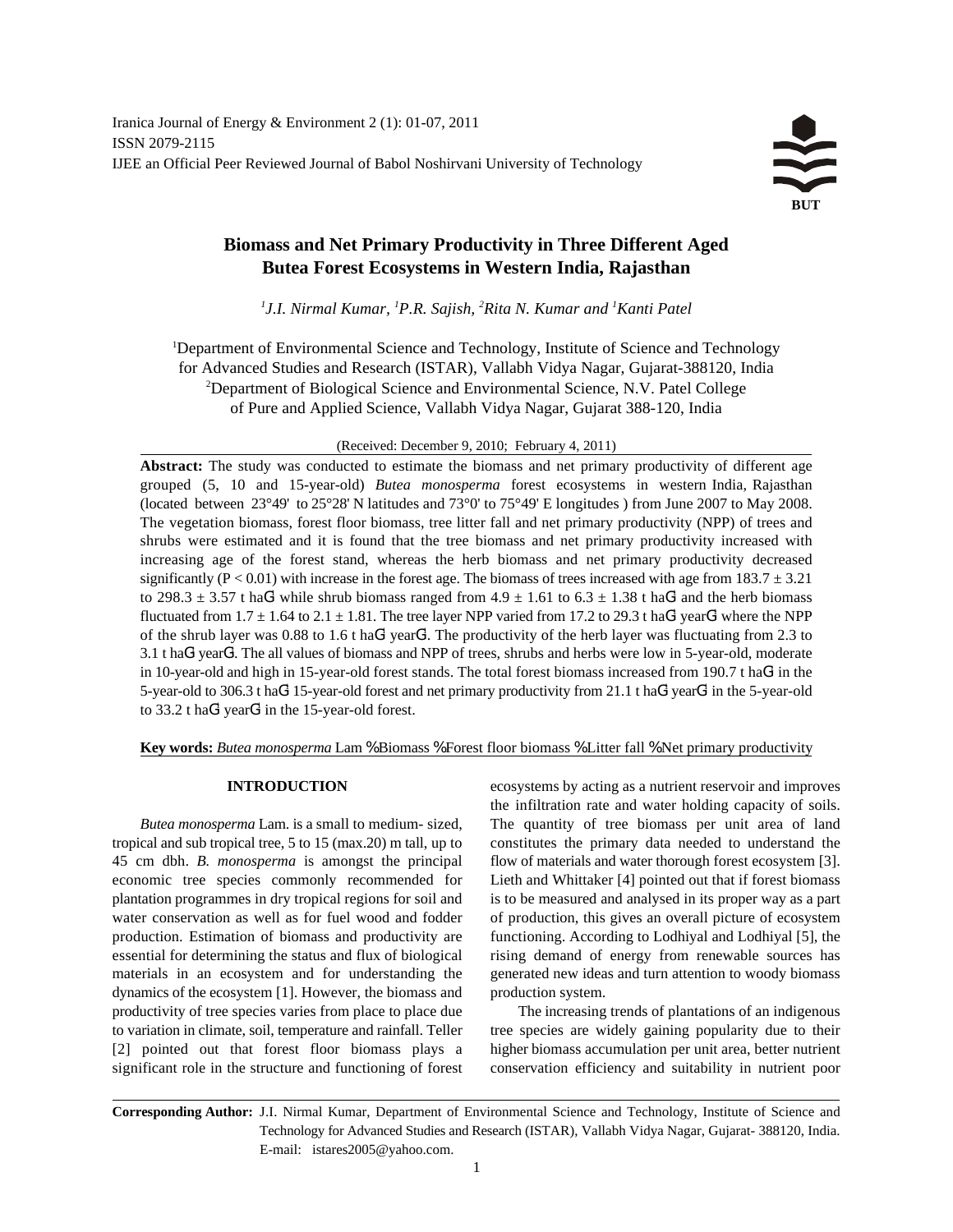# **Biomass and Net Primary Productivity in Three Different Aged Butea Forest Ecosystems in Western India, Rajasthan**

<sup>1</sup> J.I. Nirmal Kumar, <sup>1</sup>P.R. Sajish, <sup>2</sup>Rita N. Kumar and <sup>1</sup> Kanti Patel

<sup>1</sup>Department of Environmental Science and Technology, Institute of Science and Technology for Advanced Studies and Research (ISTAR), Vallabh Vidya Nagar, Gujarat-388120, India <sup>2</sup>Department of Biological Science and Environmental Science, N.V. Patel College of Pure and Applied Science, Vallabh Vidya Nagar, Gujarat 388-120, India

(Received: December 9, 2010; February 4, 2011)

Abstract: The study was conducted to estimate the biomass and net primary productivity of different age grouped (5, 10 and 15-year-old) *Butea monosperma* forest ecosystems in western India, Rajasthan (located between 23°49' to 25°28' N latitudes and 73°0' to 75°49' E longitudes ) from June 2007 to May 2008. The vegetation biomass, forest floor biomass, tree litter fall and net primary productivity (NPP) of trees and shrubs were estimated and it is found that the tree biomass and net primary productivity increased with increasing age of the forest stand, whereas the herb biomass and net primary productivity decreased significantly (P < 0.01) with increase in the forest age. The biomass of trees increased with age from  $183.7 \pm 3.21$ to 298.3  $\pm$  3.57 t haG<sup>1</sup> while shrub biomass ranged from 4.9  $\pm$  1.61 to 6.3  $\pm$  1.38 t haG<sup>1</sup> and the herb biomass fluctuated from  $1.7 \pm 1.64$  to  $2.1 \pm 1.81$ . The tree layer NPP varied from 17.2 to 29.3 t haG<sup>1</sup> yearG<sup>1</sup> where the NPP of the shrub layer was  $0.88$  to  $1.6$  t ha $G<sup>1</sup>$  year $G<sup>1</sup>$ . The productivity of the herb layer was fluctuating from 2.3 to  $3.1$  t haG<sup>1</sup> yearG<sup>1</sup>. The all values of biomass and NPP of trees, shrubs and herbs were low in 5-year-old, moderate in 10-year-old and high in 15-year-old forest stands. The total forest biomass increased from 190.7 t ha $G<sup>1</sup>$  in the 5-year-old to 306.3 t haG<sup>1</sup> 15-year-old forest and net primary productivity from 21.1 t haG<sup>1</sup> yearG<sup>1</sup> in the 5-year-old to 33.2 t ha $G<sup>1</sup>$  year $G<sup>1</sup>$  in the 15-year-old forest.

**Key words:** *Butea monosperma* Lam % Biomass % Forest floor biomass % Litter fall % Net primary productivity

tropical and sub tropical tree, 5 to 15 (max.20) m tall, up to constitutes the primary data needed to understand the 45 cm dbh. *B. monosperma* is amongst the principal flow of materials and water thorough forest ecosystem [3]. economic tree species commonly recommended for Lieth and Whittaker [4] pointed out that if forest biomass plantation programmes in dry tropical regions for soil and is to be measured and analysed in its proper way as a part water conservation as well as for fuel wood and fodder of production, this gives an overall picture of ecosystem production. Estimation of biomass and productivity are functioning. According to Lodhiyal and Lodhiyal [5], the essential for determining the status and flux of biological rising demand of energy from renewable sources has materials in an ecosystem and for understanding the generated new ideas and turn attention to woody biomass dynamics of the ecosystem [1]. However, the biomass and production system. productivity of tree species varies from place to place due The increasing trends of plantations of an indigenous to variation in climate, soil, temperature and rainfall. Teller tree species are widely gaining popularity due to their [2] pointed out that forest floor biomass plays a higher biomass accumulation per unit area, better nutrient significant role in the structure and functioning of forest conservation efficiency and suitability in nutrient poor

**INTRODUCTION** ecosystems by acting as a nutrient reservoir and improves *Butea monosperma* Lam. is a small to medium- sized, The quantity of tree biomass per unit area of land the infiltration rate and water holding capacity of soils.

**Corresponding Author:** J.I. Nirmal Kumar, Department of Environmental Science and Technology, Institute of Science and Technology for Advanced Studies and Research (ISTAR), Vallabh Vidya Nagar, Gujarat- 388120, India. E-mail: istares2005@yahoo.com.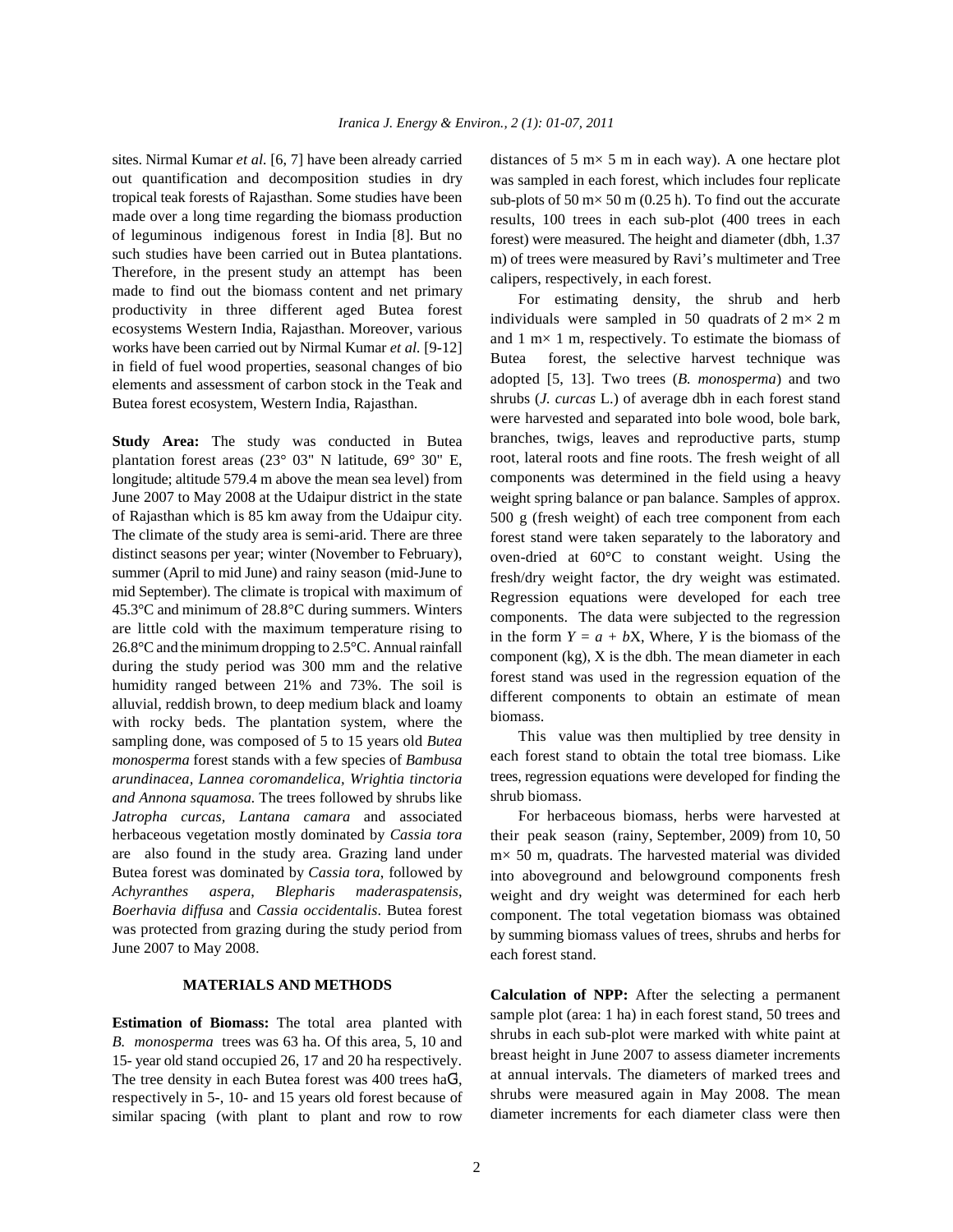out quantification and decomposition studies in dry tropical teak forests of Rajasthan. Some studies have been made over a long time regarding the biomass production of leguminous indigenous forest in India [8]. But no such studies have been carried out in Butea plantations. Therefore, in the present study an attempt has been made to find out the biomass content and net primary productivity in three different aged Butea forest ecosystems Western India, Rajasthan. Moreover, various works have been carried out by Nirmal Kumar *et al.* [9-12] in field of fuel wood properties, seasonal changes of bio elements and assessment of carbon stock in the Teak and Butea forest ecosystem, Western India, Rajasthan.

**Study Area:** The study was conducted in Butea plantation forest areas (23° 03" N latitude, 69° 30" E, longitude; altitude 579.4 m above the mean sea level) from June 2007 to May 2008 at the Udaipur district in the state of Rajasthan which is 85 km away from the Udaipur city. The climate of the study area is semi-arid. There are three distinct seasons per year; winter (November to February), summer (April to mid June) and rainy season (mid-June to mid September). The climate is tropical with maximum of 45.3°C and minimum of 28.8°C during summers. Winters are little cold with the maximum temperature rising to 26.8°C and the minimum dropping to 2.5°C. Annual rainfall during the study period was 300 mm and the relative humidity ranged between 21% and 73%. The soil is alluvial, reddish brown, to deep medium black and loamy with rocky beds. The plantation system, where the sampling done, was composed of 5 to 15 years old *Butea monosperma* forest stands with a few species of *Bambusa arundinacea, Lannea coromandelica, Wrightia tinctoria and Annona squamosa.* The trees followed by shrubs like *Jatropha curcas, Lantana camara* and associated herbaceous vegetation mostly dominated by *Cassia tora* are also found in the study area. Grazing land under Butea forest was dominated by *Cassia tora*, followed by *Achyranthes aspera*, *Blepharis maderaspatensis*, *Boerhavia diffusa* and *Cassia occidentalis*. Butea forest was protected from grazing during the study period from June 2007 to May 2008.

## **MATERIALS AND METHODS**

**Estimation of Biomass:** The total area planted with *B. monosperma* trees was 63 ha. Of this area, 5, 10 and 15- year old stand occupied 26, 17 and 20 ha respectively. The tree density in each Butea forest was  $400$  trees ha $G<sup>1</sup>$ , respectively in 5-, 10- and 15 years old forest because of similar spacing (with plant to plant and row to row

sites. Nirmal Kumar *et al.* [6, 7] have been already carried distances of 5 m $\times$  5 m in each way). A one hectare plot was sampled in each forest, which includes four replicate sub-plots of 50 m $\times$  50 m (0.25 h). To find out the accurate results, 100 trees in each sub-plot (400 trees in each forest) were measured. The height and diameter (dbh, 1.37 m) of trees were measured by Ravi's multimeter and Tree calipers, respectively, in each forest.

> For estimating density, the shrub and herb individuals were sampled in 50 quadrats of  $2 \text{ m} \times 2 \text{ m}$ and 1 m× 1 m, respectively. To estimate the biomass of Butea forest, the selective harvest technique was adopted [5, 13]. Two trees (*B. monosperma*) and two shrubs (*J. curcas* L.) of average dbh in each forest stand were harvested and separated into bole wood, bole bark, branches, twigs, leaves and reproductive parts, stump root, lateral roots and fine roots. The fresh weight of all components was determined in the field using a heavy weight spring balance or pan balance. Samples of approx. 500 g (fresh weight) of each tree component from each forest stand were taken separately to the laboratory and oven-dried at 60°C to constant weight. Using the fresh/dry weight factor, the dry weight was estimated. Regression equations were developed for each tree components. The data were subjected to the regression in the form  $Y = a + bX$ , Where, *Y* is the biomass of the component (kg), X is the dbh. The mean diameter in each forest stand was used in the regression equation of the different components to obtain an estimate of mean biomass.

> This value was then multiplied by tree density in each forest stand to obtain the total tree biomass. Like trees, regression equations were developed for finding the shrub biomass.

> For herbaceous biomass, herbs were harvested at their peak season (rainy, September, 2009) from 10, 50 m× 50 m, quadrats. The harvested material was divided into aboveground and belowground components fresh weight and dry weight was determined for each herb component. The total vegetation biomass was obtained by summing biomass values of trees, shrubs and herbs for each forest stand.

> **Calculation of NPP:** After the selecting a permanent sample plot (area: 1 ha) in each forest stand, 50 trees and shrubs in each sub-plot were marked with white paint at breast height in June 2007 to assess diameter increments at annual intervals. The diameters of marked trees and shrubs were measured again in May 2008. The mean diameter increments for each diameter class were then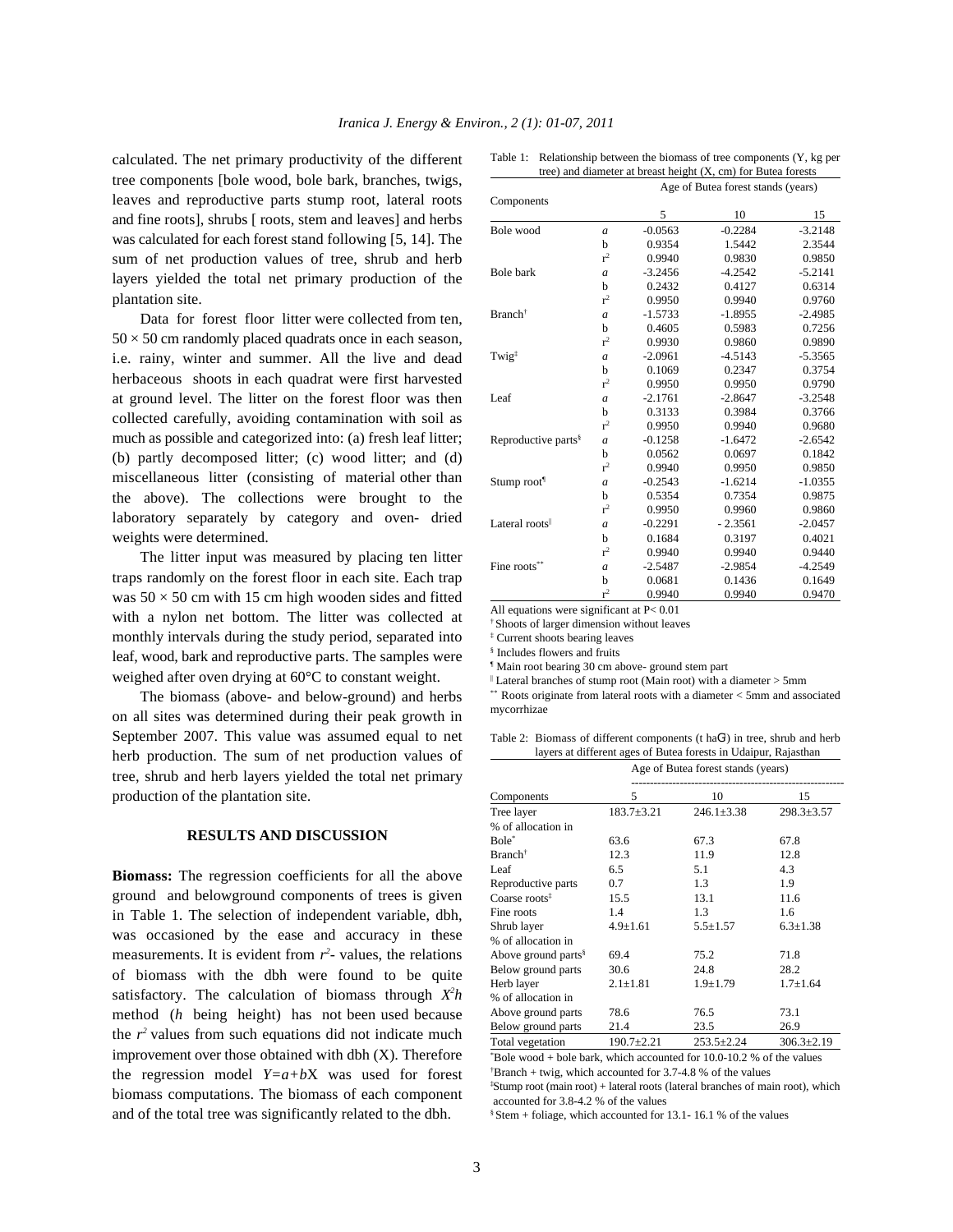calculated. The net primary productivity of the different tree components [bole wood, bole bark, branches, twigs, leaves and reproductive parts stump root, lateral roots and fine roots], shrubs [ roots, stem and leaves] and herbs was calculated for each forest stand following [5, 14]. The sum of net production values of tree, shrub and herb layers yielded the total net primary production of the plantation site.

Data for forest floor litter were collected from ten,  $50 \times 50$  cm randomly placed quadrats once in each season, i.e. rainy, winter and summer. All the live and dead herbaceous shoots in each quadrat were first harvested at ground level. The litter on the forest floor was then collected carefully, avoiding contamination with soil as much as possible and categorized into: (a) fresh leaf litter; (b) partly decomposed litter; (c) wood litter; and (d) miscellaneous litter (consisting of material other than the above). The collections were brought to the laboratory separately by category and oven- dried weights were determined.

The litter input was measured by placing ten litter traps randomly on the forest floor in each site. Each trap was  $50 \times 50$  cm with 15 cm high wooden sides and fitted with a nylon net bottom. The litter was collected at monthly intervals during the study period, separated into leaf, wood, bark and reproductive parts. The samples were weighed after oven drying at 60°C to constant weight.

The biomass (above- and below-ground) and herbs on all sites was determined during their peak growth in September 2007. This value was assumed equal to net herb production. The sum of net production values of tree, shrub and herb layers yielded the total net primary production of the plantation site.

## **RESULTS AND DISCUSSION**

**Biomass:** The regression coefficients for all the above ground and belowground components of trees is given in Table 1. The selection of independent variable, dbh, was occasioned by the ease and accuracy in these measurements. It is evident from  $r^2$ - values, the relations of biomass with the dbh were found to be quite satisfactory. The calculation of biomass through  $X^2h$ method (*h* being height) has not been used because the  $r^2$  values from such equations did not indicate much improvement over those obtained with dbh (X). Therefore the regression model *Y=a+b*X was used for forest biomass computations. The biomass of each component and of the total tree was significantly related to the dbh.

|                                 |                  | Age of Butea forest stands (years) |           |           |  |
|---------------------------------|------------------|------------------------------------|-----------|-----------|--|
| Components                      |                  |                                    |           |           |  |
|                                 |                  | 5                                  | 10        | 15        |  |
| Bole wood                       | $\overline{a}$   | $-0.0563$                          | $-0.2284$ | $-3.2148$ |  |
|                                 | b                | 0.9354                             | 1.5442    | 2.3544    |  |
|                                 | $r^2$            | 0.9940                             | 0.9830    | 0.9850    |  |
| <b>Bole</b> bark                | $\overline{a}$   | $-3.2456$                          | $-4.2542$ | $-5.2141$ |  |
|                                 | b                | 0.2432                             | 0.4127    | 0.6314    |  |
|                                 | r <sup>2</sup>   | 0.9950                             | 0.9940    | 0.9760    |  |
| Branch <sup>†</sup>             | $\overline{a}$   | $-1.5733$                          | $-1.8955$ | $-2.4985$ |  |
|                                 | b                | 0.4605                             | 0.5983    | 0.7256    |  |
|                                 | $r^2$            | 0.9930                             | 0.9860    | 0.9890    |  |
| Twig <sup>‡</sup>               | $\overline{a}$   | $-2.0961$                          | $-4.5143$ | $-5.3565$ |  |
|                                 | b                | 0.1069                             | 0.2347    | 0.3754    |  |
|                                 | r <sup>2</sup>   | 0.9950                             | 0.9950    | 0.9790    |  |
| Leaf                            | $\overline{a}$   | $-2.1761$                          | $-2.8647$ | $-3.2548$ |  |
|                                 | b                | 0.3133                             | 0.3984    | 0.3766    |  |
|                                 | r <sup>2</sup>   | 0.9950                             | 0.9940    | 0.9680    |  |
| Reproductive parts <sup>§</sup> | $\boldsymbol{a}$ | $-0.1258$                          | $-1.6472$ | $-2.6542$ |  |
|                                 | b                | 0.0562                             | 0.0697    | 0.1842    |  |
|                                 | $r^2$            | 0.9940                             | 0.9950    | 0.9850    |  |
| Stump root <sup>1</sup>         | $\overline{a}$   | $-0.2543$                          | $-1.6214$ | $-1.0355$ |  |
|                                 | b                | 0.5354                             | 0.7354    | 0.9875    |  |
|                                 | $r^2$            | 0.9950                             | 0.9960    | 0.9860    |  |
| Lateral roots                   | $\overline{a}$   | $-0.2291$                          | $-2.3561$ | $-2.0457$ |  |
|                                 | b                | 0.1684                             | 0.3197    | 0.4021    |  |
|                                 | $r^2$            | 0.9940                             | 0.9940    | 0.9440    |  |
| Fine roots**                    | $\overline{a}$   | $-2.5487$                          | $-2.9854$ | $-4.2549$ |  |
|                                 | b                | 0.0681                             | 0.1436    | 0.1649    |  |
|                                 | r <sup>2</sup>   | 0.9940                             | 0.9940    | 0.9470    |  |

Table 1: Relationship between the biomass of tree components (Y, kg per tree) and diameter at breast height (X, cm) for Butea forests

All equations were significant at P< 0.01

Shoots of larger dimension without leaves †

 $‡$  Current shoots bearing leaves

<sup>§</sup> Includes flowers and fruits

Main root bearing 30 cm above- ground stem part ¶

|| Lateral branches of stump root (Main root) with a diameter  $>$  5mm

\*\* Roots originate from lateral roots with a diameter < 5mm and associated mycorrhizae

Table 2: Biomass of different components (t haG<sup>1</sup>) in tree, shrub and herb layers at different ages of Butea forests in Udaipur, Rajasthan

|                                 |                  | Age of Butea forest stands (years) |                  |  |  |
|---------------------------------|------------------|------------------------------------|------------------|--|--|
| Components                      | 5                | 10                                 | 15               |  |  |
| Tree layer                      | $183.7 + 3.21$   | $246.1 \pm 3.38$                   | $298.3 \pm 3.57$ |  |  |
| % of allocation in              |                  |                                    |                  |  |  |
| Bole <sup>*</sup>               | 63.6             | 67.3                               | 67.8             |  |  |
| Branch <sup>†</sup>             | 12.3             | 11.9                               | 12.8             |  |  |
| Leaf                            | 6.5              | 5.1                                | 4.3              |  |  |
| Reproductive parts              | 0.7              | 1.3                                | 1.9              |  |  |
| Coarse roots <sup>†</sup>       | 15.5             | 13.1                               | 11.6             |  |  |
| Fine roots                      | 1.4              | 1.3                                | 1.6              |  |  |
| Shrub layer                     | $4.9 \pm 1.61$   | $5.5 \pm 1.57$                     | $6.3 \pm 1.38$   |  |  |
| % of allocation in              |                  |                                    |                  |  |  |
| Above ground parts <sup>§</sup> | 69.4             | 75.2                               | 71.8             |  |  |
| Below ground parts              | 30.6             | 24.8                               | 28.2             |  |  |
| Herb layer                      | $2.1 \pm 1.81$   | $1.9 + 1.79$                       | $1.7 + 1.64$     |  |  |
| % of allocation in              |                  |                                    |                  |  |  |
| Above ground parts              | 78.6             | 76.5                               | 73.1             |  |  |
| Below ground parts              | 21.4             | 23.5                               | 26.9             |  |  |
| Total vegetation                | $190.7 \pm 2.21$ | $253.5 \pm 2.24$                   | $306.3 \pm 2.19$ |  |  |

 $80e$  wood + bole bark, which accounted for 10.0-10.2 % of the values Branch + twig, which accounted for 3.7-4.8 % of the values †

Stump root (main root) + lateral roots (lateral branches of main root), which ‡ accounted for 3.8-4.2 % of the values

 $$Stem + foliage, which accounted for 13.1-16.1 % of the values$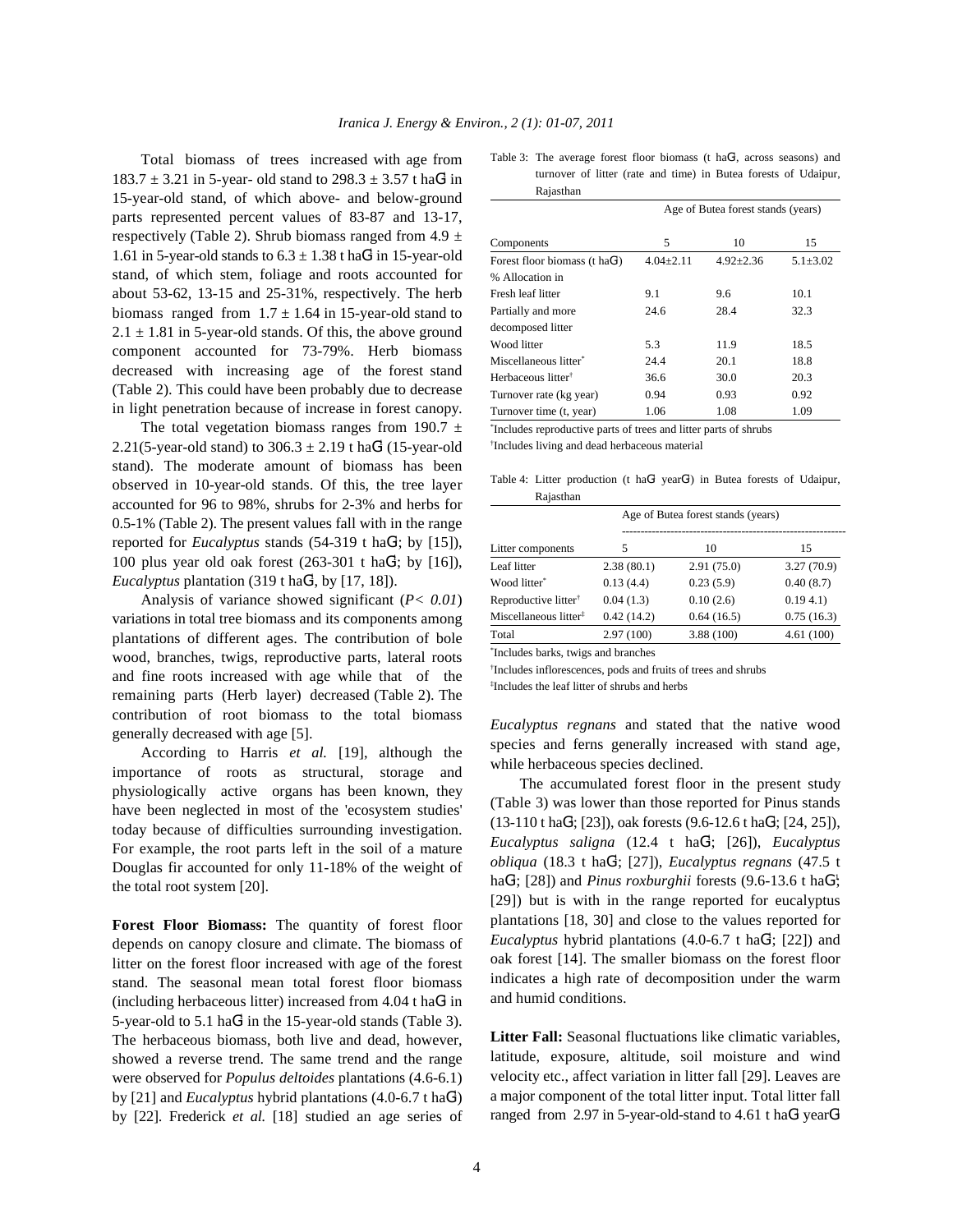Total biomass of trees increased with age from  $183.7 \pm 3.21$  in 5-year- old stand to  $298.3 \pm 3.57$  t haG<sup>1</sup> in 15-year-old stand, of which above- and below-ground parts represented percent values of 83-87 and 13-17, respectively (Table 2). Shrub biomass ranged from 4.9  $\pm$ 1.61 in 5-year-old stands to  $6.3 \pm 1.38$  t haG<sup>1</sup> in 15-year-old stand, of which stem, foliage and roots accounted for about 53-62, 13-15 and 25-31%, respectively. The herb biomass ranged from  $1.7 \pm 1.64$  in 15-year-old stand to  $2.1 \pm 1.81$  in 5-year-old stands. Of this, the above ground component accounted for 73-79%. Herb biomass decreased with increasing age of the forest stand (Table 2). This could have been probably due to decrease in light penetration because of increase in forest canopy.

The total vegetation biomass ranges from 190.7  $\pm$ 2.21(5-year-old stand) to  $306.3 \pm 2.19$  t ha $6<sup>1</sup>$  (15-year-old stand). The moderate amount of biomass has been observed in 10-year-old stands. Of this, the tree layer accounted for 96 to 98%, shrubs for 2-3% and herbs for 0.5-1% (Table 2). The present values fall with in the range reported for *Eucalyptus* stands  $(54-319 \text{ t haG}^1; \text{ by } [15])$ , 100 plus year old oak forest  $(263-301 \text{ t haG}^1; \text{ by } [16])$ , *Eucalyptus* plantation  $(319 \text{ t} \text{ haG}^1, \text{ by } [17, 18])$ .

Analysis of variance showed significant (*P< 0.01*) variations in total tree biomass and its components among plantations of different ages. The contribution of bole wood, branches, twigs, reproductive parts, lateral roots and fine roots increased with age while that of the remaining parts (Herb layer) decreased (Table 2). The contribution of root biomass to the total biomass generally decreased with age [5].

According to Harris *et al.* [19], although the importance of roots as structural, storage and physiologically active organs has been known, they have been neglected in most of the 'ecosystem studies' today because of difficulties surrounding investigation. For example, the root parts left in the soil of a mature Douglas fir accounted for only 11-18% of the weight of the total root system [20].

**Forest Floor Biomass:** The quantity of forest floor depends on canopy closure and climate. The biomass of litter on the forest floor increased with age of the forest stand. The seasonal mean total forest floor biomass (including herbaceous litter) increased from  $4.04$  t ha $G<sup>1</sup>$  in 5-year-old to 5.1 ha $G<sup>1</sup>$  in the 15-year-old stands (Table 3). The herbaceous biomass, both live and dead, however, showed a reverse trend. The same trend and the range were observed for *Populus deltoides* plantations (4.6-6.1) by [21] and *Eucalyptus* hybrid plantations (4.0-6.7 t haG<sup>1</sup>) by [22]. Frederick *et al.* [18] studied an age series of

Table 3: The average forest floor biomass (t haG<sup>1</sup>, across seasons) and turnover of litter (rate and time) in Butea forests of Udaipur, Rajasthan

|                                   | Age of Butea forest stands (years) |               |                |  |
|-----------------------------------|------------------------------------|---------------|----------------|--|
| Components                        | 5                                  | 10            | 15             |  |
| Forest floor biomass (t ha $G1$ ) | $4.04 \pm 2.11$                    | $4.92 + 2.36$ | $5.1 \pm 3.02$ |  |
| % Allocation in                   |                                    |               |                |  |
| Fresh leaf litter                 | 9.1                                | 9.6           | 10.1           |  |
| Partially and more                | 24.6                               | 28.4          | 32.3           |  |
| decomposed litter                 |                                    |               |                |  |
| Wood litter                       | 5.3                                | 11.9          | 18.5           |  |
| Miscellaneous litter*             | 24.4                               | 20.1          | 18.8           |  |
| Herbaceous litter <sup>†</sup>    | 36.6                               | 30.0          | 20.3           |  |
| Turnover rate (kg year)           | 0.94                               | 0.93          | 0.92           |  |
| Turnover time (t, year)           | 1.06                               | 1.08          | 1.09           |  |

\*Includes reproductive parts of trees and litter parts of shrubs

<sup>†</sup>Includes living and dead herbaceous material

Table 4: Litter production (t haG<sup>1</sup> yearG<sup>1</sup>) in Butea forests of Udaipur, Rajasthan

|                                   | Age of Butea forest stands (years) |            |            |
|-----------------------------------|------------------------------------|------------|------------|
| Litter components                 | 5                                  | 10         | 15         |
| Leaf litter                       | 2.38(80.1)                         | 2.91(75.0) | 3.27(70.9) |
| Wood litter*                      | 0.13(4.4)                          | 0.23(5.9)  | 0.40(8.7)  |
| Reproductive litter <sup>†</sup>  | 0.04(1.3)                          | 0.10(2.6)  | 0.194.1    |
| Miscellaneous litter <sup>‡</sup> | 0.42(14.2)                         | 0.64(16.5) | 0.75(16.3) |
| Total                             | 2.97(100)                          | 3.88(100)  | 4.61(100)  |

<sup>\*</sup>Includes barks, twigs and branches

<sup>†</sup>Includes inflorescences, pods and fruits of trees and shrubs

Includes the leaf litter of shrubs and herbs ‡

*Eucalyptus regnans* and stated that the native wood species and ferns generally increased with stand age, while herbaceous species declined.

The accumulated forest floor in the present study (Table 3) was lower than those reported for Pinus stands  $(13-110 \text{ t} \text{ haG}^1; [23])$ , oak forests  $(9.6-12.6 \text{ t} \text{ haG}^1; [24, 25])$ , *Eucalyptus saligna* (12.4 t haG<sup>1</sup>; [26]), *Eucalyptus obliqua* (18.3 t haG<sup>1</sup>; [27]), *Eucalyptus regnans* (47.5 t haG<sup>1</sup>; [28]) and *Pinus roxburghii* forests (9.6-13.6 t haG<sup>1</sup>; [29]) but is with in the range reported for eucalyptus plantations [18, 30] and close to the values reported for *Eucalyptus* hybrid plantations  $(4.0-6.7 \text{ t haG}^1; [22])$  and oak forest [14]. The smaller biomass on the forest floor indicates a high rate of decomposition under the warm and humid conditions.

Litter Fall: Seasonal fluctuations like climatic variables, latitude, exposure, altitude, soil moisture and wind velocity etc., affect variation in litter fall [29]. Leaves are a major component of the total litter input. Total litter fall ranged from 2.97 in 5-year-old-stand to 4.61 t ha $G<sup>1</sup>$  year $G<sup>1</sup>$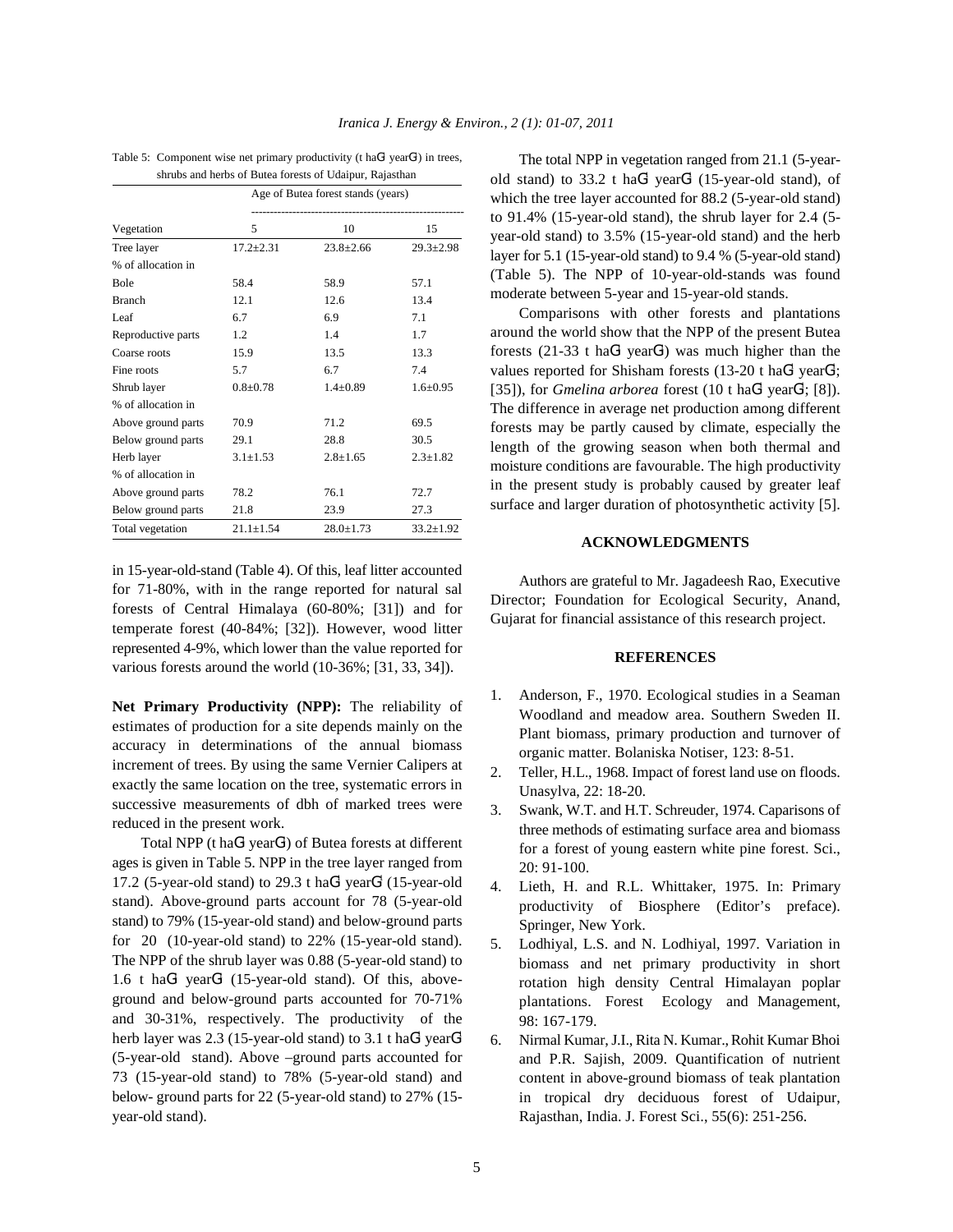| Iranica J. Energy & Environ., 2 (1): 01-07, 2011 |  |  |  |  |  |  |
|--------------------------------------------------|--|--|--|--|--|--|
|--------------------------------------------------|--|--|--|--|--|--|

| shrubs and herbs of Butea forests of Udaipur, Rajasthan |                 |                                    |                 |  |  |  |
|---------------------------------------------------------|-----------------|------------------------------------|-----------------|--|--|--|
|                                                         |                 | Age of Butea forest stands (years) |                 |  |  |  |
| Vegetation                                              | 5               | 10                                 | 15              |  |  |  |
| Tree layer                                              | $17.2 \pm 2.31$ | $23.8 \pm 2.66$                    | $29.3 \pm 2.98$ |  |  |  |
| % of allocation in                                      |                 |                                    |                 |  |  |  |
| <b>Bole</b>                                             | 58.4            | 58.9                               | 57.1            |  |  |  |
| <b>Branch</b>                                           | 12.1            | 12.6                               | 13.4            |  |  |  |
| Leaf                                                    | 6.7             | 6.9                                | 7.1             |  |  |  |
| Reproductive parts                                      | 1.2             | 1.4                                | 1.7             |  |  |  |
| Coarse roots                                            | 15.9            | 13.5                               | 13.3            |  |  |  |
| Fine roots                                              | 5.7             | 6.7                                | 7.4             |  |  |  |
| Shrub layer                                             | $0.8 \pm 0.78$  | $1.4 \pm 0.89$                     | $1.6 \pm 0.95$  |  |  |  |
| % of allocation in                                      |                 |                                    |                 |  |  |  |
| Above ground parts                                      | 70.9            | 71.2                               | 69.5            |  |  |  |
| Below ground parts                                      | 29.1            | 28.8                               | 30.5            |  |  |  |
| Herb layer                                              | $3.1 \pm 1.53$  | $2.8 \pm 1.65$                     | $2.3 \pm 1.82$  |  |  |  |
| % of allocation in                                      |                 |                                    |                 |  |  |  |
| Above ground parts                                      | 78.2            | 76.1                               | 72.7            |  |  |  |
| Below ground parts                                      | 21.8            | 23.9                               | 27.3            |  |  |  |
| Total vegetation                                        | $21.1 \pm 1.54$ | $28.0 \pm 1.73$                    | $33.2 \pm 1.92$ |  |  |  |

Table 5: Component wise net primary productivity (t ha $G<sup>1</sup>$  year $G<sup>1</sup>$ ) in trees,

in 15-year-old-stand (Table 4). Of this, leaf litter accounted for 71-80%, with in the range reported for natural sal forests of Central Himalaya (60-80%; [31]) and for temperate forest (40-84%; [32]). However, wood litter represented 4-9%, which lower than the value reported for various forests around the world (10-36%; [31, 33, 34]).

**Net Primary Productivity (NPP):** The reliability of estimates of production for a site depends mainly on the accuracy in determinations of the annual biomass increment of trees. By using the same Vernier Calipers at exactly the same location on the tree, systematic errors in successive measurements of dbh of marked trees were reduced in the present work.

Total NPP (t ha $G<sup>1</sup>$  year $G<sup>1</sup>$ ) of Butea forests at different ages is given in Table 5. NPP in the tree layer ranged from 17.2 (5-year-old stand) to 29.3 t ha $G<sup>1</sup>$  year $G<sup>1</sup>$  (15-year-old stand). Above-ground parts account for 78 (5-year-old stand) to 79% (15-year-old stand) and below-ground parts for 20 (10-year-old stand) to 22% (15-year-old stand). The NPP of the shrub layer was 0.88 (5-year-old stand) to 1.6 t ha $G<sup>1</sup>$  year $G<sup>1</sup>$  (15-year-old stand). Of this, aboveground and below-ground parts accounted for 70-71% and 30-31%, respectively. The productivity of the herb layer was  $2.3$  (15-year-old stand) to  $3.1$  t ha $G<sup>1</sup>$  year $G<sup>1</sup>$ (5-year-old stand). Above –ground parts accounted for 73 (15-year-old stand) to 78% (5-year-old stand) and below- ground parts for 22 (5-year-old stand) to 27% (15 year-old stand).

The total NPP in vegetation ranged from 21.1 (5-yearold stand) to  $33.2$  t ha $G<sup>1</sup>$  year $G<sup>1</sup>$  (15-year-old stand), of which the tree layer accounted for 88.2 (5-year-old stand) to 91.4% (15-year-old stand), the shrub layer for 2.4 (5 year-old stand) to 3.5% (15-year-old stand) and the herb layer for 5.1 (15-year-old stand) to 9.4 % (5-year-old stand) (Table 5). The NPP of 10-year-old-stands was found moderate between 5-year and 15-year-old stands.

Comparisons with other forests and plantations around the world show that the NPP of the present Butea forests (21-33 t ha $G<sup>1</sup>$  year $G<sup>1</sup>$ ) was much higher than the values reported for Shisham forests  $(13{\text -}20 \text{ t} \text{ haG}^1 \text{ yearG}^1)$ ; [35]), for *Gmelina arborea* forest  $(10 \text{ t haG}^1 \text{ yearG}^1; [8])$ . The difference in average net production among different forests may be partly caused by climate, especially the length of the growing season when both thermal and moisture conditions are favourable. The high productivity in the present study is probably caused by greater leaf surface and larger duration of photosynthetic activity [5].

#### **ACKNOWLEDGMENTS**

Authors are grateful to Mr. Jagadeesh Rao, Executive Director; Foundation for Ecological Security, Anand, Gujarat for financial assistance of this research project.

### **REFERENCES**

- 1. Anderson, F., 1970. Ecological studies in a Seaman Woodland and meadow area. Southern Sweden II. Plant biomass, primary production and turnover of organic matter. Bolaniska Notiser, 123: 8-51.
- 2. Teller, H.L., 1968. Impact of forest land use on floods. Unasylva, 22: 18-20.
- 3. Swank, W.T. and H.T. Schreuder, 1974. Caparisons of three methods of estimating surface area and biomass for a forest of young eastern white pine forest. Sci., 20: 91-100.
- 4. Lieth, H. and R.L. Whittaker, 1975. In: Primary productivity of Biosphere (Editor's preface). Springer, New York.
- 5. Lodhiyal, L.S. and N. Lodhiyal, 1997. Variation in biomass and net primary productivity in short rotation high density Central Himalayan poplar plantations. Forest Ecology and Management, 98: 167-179.
- 6. Nirmal Kumar, J.I., Rita N. Kumar., Rohit Kumar Bhoi and P.R. Sajish, 2009. Quantification of nutrient content in above-ground biomass of teak plantation in tropical dry deciduous forest of Udaipur, Rajasthan, India. J. Forest Sci., 55(6): 251-256.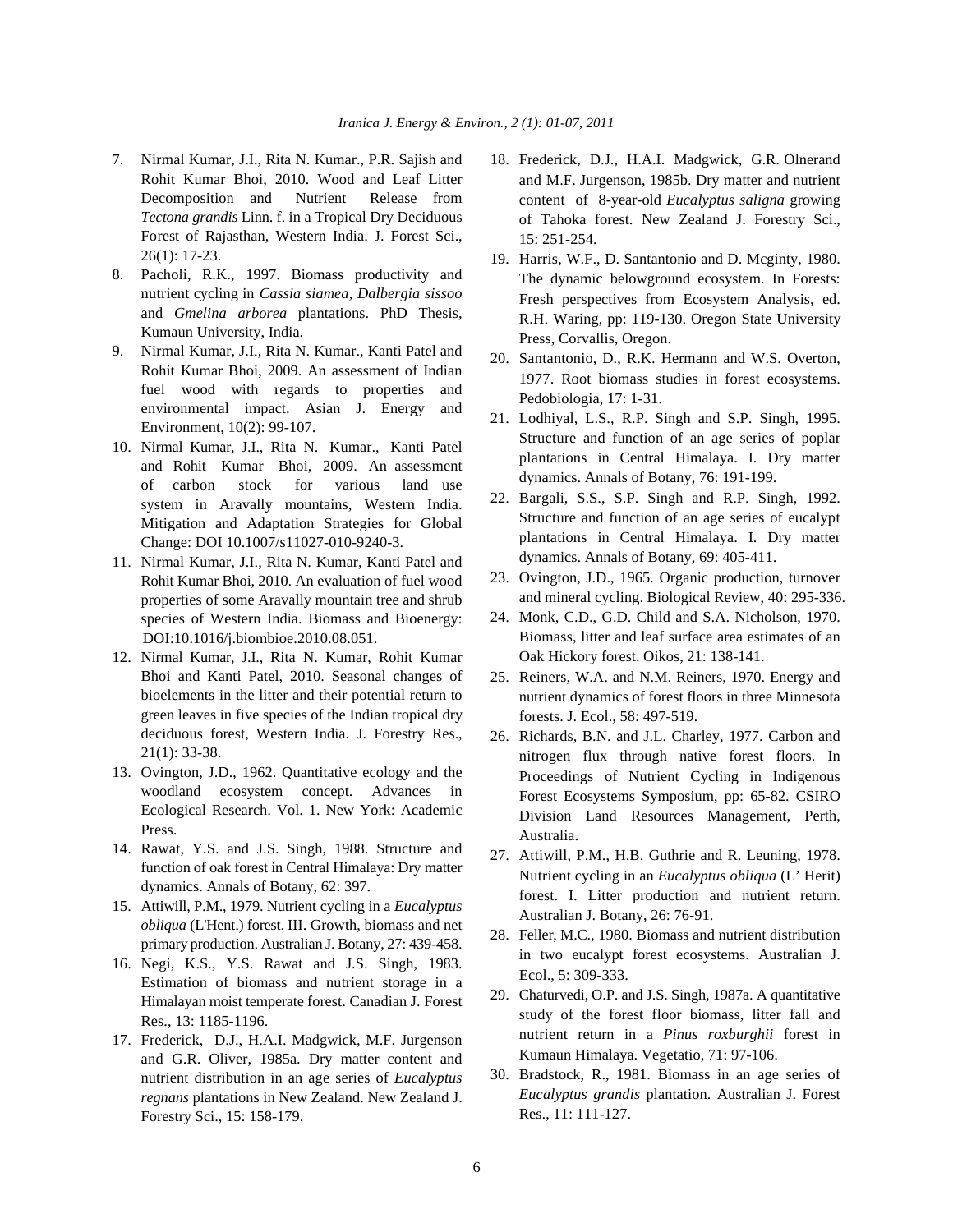- 7. Nirmal Kumar, J.I., Rita N. Kumar., P.R. Sajish and 18. Frederick, D.J., H.A.I. Madgwick, G.R. Olnerand Rohit Kumar Bhoi, 2010. Wood and Leaf Litter Decomposition and Nutrient Release from *Tectona grandis* Linn. f. in a Tropical Dry Deciduous Forest of Rajasthan, Western India. J. Forest Sci., 26(1): 17-23.
- 8. Pacholi, R.K., 1997. Biomass productivity and nutrient cycling in *Cassia siamea*, *Dalbergia sissoo* and *Gmelina arborea* plantations. PhD Thesis, Kumaun University, India.
- 9. Nirmal Kumar, J.I., Rita N. Kumar., Kanti Patel and Rohit Kumar Bhoi, 2009. An assessment of Indian fuel wood with regards to properties and environmental impact. Asian J. Energy and Environment, 10(2): 99-107.
- 10. Nirmal Kumar, J.I., Rita N. Kumar., Kanti Patel and Rohit Kumar Bhoi, 2009. An assessment of carbon stock for various land use system in Aravally mountains, Western India. Mitigation and Adaptation Strategies for Global Change: DOI 10.1007/s11027-010-9240-3.
- 11. Nirmal Kumar, J.I., Rita N. Kumar, Kanti Patel and Rohit Kumar Bhoi, 2010. An evaluation of fuel wood properties of some Aravally mountain tree and shrub species of Western India. Biomass and Bioenergy: DOI:10.1016/j.biombioe.2010.08.051.
- 12. Nirmal Kumar, J.I., Rita N. Kumar, Rohit Kumar Bhoi and Kanti Patel, 2010. Seasonal changes of bioelements in the litter and their potential return to green leaves in five species of the Indian tropical dry deciduous forest, Western India. J. Forestry Res., 21(1): 33-38.
- 13. Ovington, J.D., 1962. Quantitative ecology and the woodland ecosystem concept. Advances in Ecological Research. Vol. 1. New York: Academic Press.
- 14. Rawat, Y.S. and J.S. Singh, 1988. Structure and function of oak forest in Central Himalaya: Dry matter dynamics. Annals of Botany, 62: 397.
- 15. Attiwill, P.M., 1979. Nutrient cycling in a *Eucalyptus obliqua* (L'Hent.) forest. III. Growth, biomass and net primary production. Australian J. Botany, 27: 439-458.
- 16. Negi, K.S., Y.S. Rawat and J.S. Singh, 1983. Estimation of biomass and nutrient storage in a Himalayan moist temperate forest. Canadian J. Forest Res., 13: 1185-1196.
- 17. Frederick, D.J., H.A.I. Madgwick, M.F. Jurgenson and G.R. Oliver, 1985a. Dry matter content and nutrient distribution in an age series of *Eucalyptus regnans* plantations in New Zealand. New Zealand J. Forestry Sci., 15: 158-179.
- and M.F. Jurgenson, 1985b. Dry matter and nutrient content of 8-year-old *Eucalyptus saligna* growing of Tahoka forest. New Zealand J. Forestry Sci., 15: 251-254.
- 19. Harris, W.F., D. Santantonio and D. Mcginty, 1980. The dynamic belowground ecosystem. In Forests: Fresh perspectives from Ecosystem Analysis, ed. R.H. Waring, pp: 119-130. Oregon State University Press, Corvallis, Oregon.
- 20. Santantonio, D., R.K. Hermann and W.S. Overton, 1977. Root biomass studies in forest ecosystems. Pedobiologia, 17: 1-31.
- 21. Lodhiyal, L.S., R.P. Singh and S.P. Singh, 1995. Structure and function of an age series of poplar plantations in Central Himalaya. I. Dry matter dynamics. Annals of Botany, 76: 191-199.
- 22. Bargali, S.S., S.P. Singh and R.P. Singh, 1992. Structure and function of an age series of eucalypt plantations in Central Himalaya. I. Dry matter dynamics. Annals of Botany, 69: 405-411.
- 23. Ovington, J.D., 1965. Organic production, turnover and mineral cycling. Biological Review, 40: 295-336.
- 24. Monk, C.D., G.D. Child and S.A. Nicholson, 1970. Biomass, litter and leaf surface area estimates of an Oak Hickory forest. Oikos, 21: 138-141.
- 25. Reiners, W.A. and N.M. Reiners, 1970. Energy and nutrient dynamics of forest floors in three Minnesota forests. J. Ecol., 58: 497-519.
- 26. Richards, B.N. and J.L. Charley, 1977. Carbon and nitrogen flux through native forest floors. In Proceedings of Nutrient Cycling in Indigenous Forest Ecosystems Symposium, pp: 65-82. CSIRO Division Land Resources Management, Perth, Australia.
- 27. Attiwill, P.M., H.B. Guthrie and R. Leuning, 1978. Nutrient cycling in an *Eucalyptus obliqua* (L' Herit) forest. I. Litter production and nutrient return. Australian J. Botany, 26: 76-91.
- 28. Feller, M.C., 1980. Biomass and nutrient distribution in two eucalypt forest ecosystems. Australian J. Ecol., 5: 309-333.
- 29. Chaturvedi, O.P. and J.S. Singh, 1987a. A quantitative study of the forest floor biomass, litter fall and nutrient return in a *Pinus roxburghii* forest in Kumaun Himalaya. Vegetatio, 71: 97-106.
- 30. Bradstock, R., 1981. Biomass in an age series of *Eucalyptus grandis* plantation. Australian J. Forest Res., 11: 111-127.